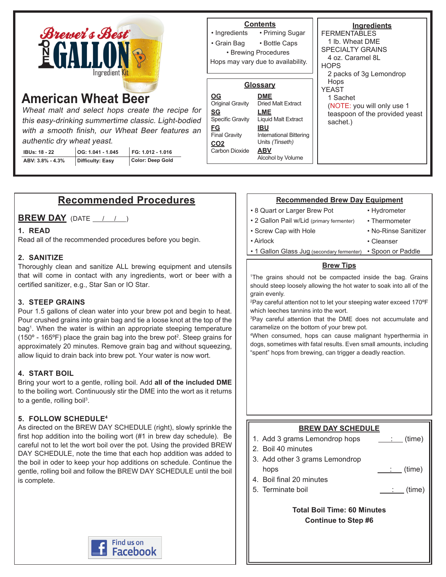

# **American Wheat Beer**

Wheat malt and select hops create the recipe for this easy-drinking summertime classic. Light-bodied with a smooth finish, our Wheat Beer features an authentic dry wheat yeast.

| <b>IBUs: 18 - 22</b> | OG: 1.041 - 1.045 | FG: 1.012 - 1.016 |
|----------------------|-------------------|-------------------|
| ABV: 3.8% - 4.3%     | Difficulty: Easy  | Color: Deep Gold  |

# **Contents**

• Priming Sugar • Ingredients

• Bottle Caps • Grain Bag

• Brewing Procedures

Hops may vary due to availability.

#### **Glossary DME** Dried Malt Extract **LME** Liquid Malt Extract **IBU** International Bittering Units (Tinseth) **ABV** Alcohol by Volume **OG** Original Gravity **SG** Specific Gravity **FG** Final Gravity **CO2 Carbon Dioxide**

**Ingredients FERMENTABLES** 1 lb. Wheat DME SPECIALTY GRAINS 4 oz. Caramel 8L **HOPS** 2 packs of 3g Lemondrop **Hops** YEAST 1 Sachet (NOTE: you will only use 1 teaspoon of the provided yeast sachet.)

# **Recommended Procedures**

**BREW DAY** (DATE / / )

### **1. READ**

Read all of the recommended procedures before you begin.

### **2. SANITIZE**

Thoroughly clean and sanitize ALL brewing equipment and utensils that will come in contact with any ingredients, wort or beer with a certified sanitizer, e.g., Star San or IO Star.

# **3. STEEP GRAINS**

Pour 1.5 gallons of clean water into your brew pot and begin to heat. Pour crushed grains into grain bag and tie a loose knot at the top of the bag1 . When the water is within an appropriate steeping temperature (150 $\textdegree$  - 165 $\textdegree$ F) place the grain bag into the brew pot<sup>2</sup>. Steep grains for approximately 20 minutes. Remove grain bag and without squeezing, allow liquid to drain back into brew pot. Your water is now wort.

# **4. START BOIL**

Bring your wort to a gentle, rolling boil. Add **all of the included DME** to the boiling wort. Continuously stir the DME into the wort as it returns to a gentle, rolling boil<sup>3</sup>.

# **5. FOLLOW SCHEDULE4**

As directed on the BREW DAY SCHEDULE (right), slowly sprinkle the first hop addition into the boiling wort (#1 in brew day schedule). Be careful not to let the wort boil over the pot. Using the provided BREW DAY SCHEDULE, note the time that each hop addition was added to the boil in oder to keep your hop additions on schedule. Continue the gentle, rolling boil and follow the BREW DAY SCHEDULE until the boil is complete.

# **Recommended Brew Day Equipment**

- 8 Quart or Larger Brew Pot
- 2 Gallon Pail w/Lid (primary fermenter)

• Screw Cap with Hole

• Hydrometer • Thermometer

• No-Rinse Sanitizer

• Airlock

- Cleanser
- 1 Gallon Glass Jug (secondary fermenter) Spoon or Paddle

#### **Brew Tips**

1 The grains should not be compacted inside the bag. Grains should steep loosely allowing the hot water to soak into all of the grain evenly.

2 Pay careful attention not to let your steeping water exceed 170ºF which leeches tannins into the wort.

3 Pay careful attention that the DME does not accumulate and caramelize on the bottom of your brew pot.

4 When consumed, hops can cause malignant hyperthermia in dogs, sometimes with fatal results. Even small amounts, including "spent" hops from brewing, can trigger a deadly reaction.

# **BREW DAY SCHEDULE**

1. Add 3 grams Lemondrop hops  $\qquad \qquad \therefore$  (time)

- 2. Boil 40 minutes
- 3. Add other 3 grams Lemondrop hops  $\qquad \qquad$  (time)
- 4. Boil final 20 minutes
- 5. Terminate boil (time)

### **Total Boil Time: 60 Minutes Continue to Step #6**